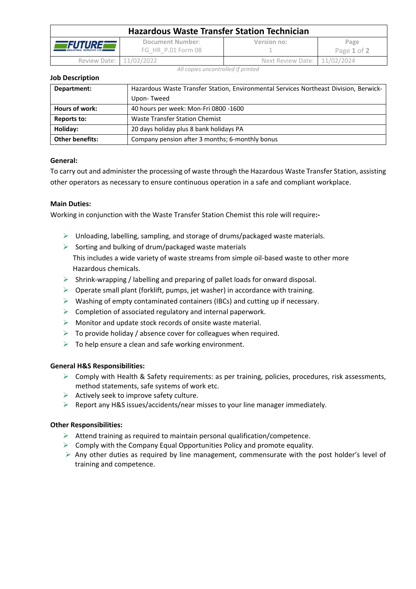| <b>Hazardous Waste Transfer Station Technician</b>  |                                        |                              |                     |  |  |
|-----------------------------------------------------|----------------------------------------|------------------------------|---------------------|--|--|
| <b>ÆFUTUREF</b><br><b>INDUSTRIAL SERVICES LTD #</b> | Document Number:<br>FG HR P.01 Form 08 | Version no:                  | Page<br>Page 1 of 2 |  |  |
| Review Date: 11/02/2022                             |                                        | Next Review Date: 11/02/2024 |                     |  |  |

*All copies uncontrolled if printed*

### **Job Description**

| Department:            | Hazardous Waste Transfer Station, Environmental Services Northeast Division, Berwick- |  |
|------------------------|---------------------------------------------------------------------------------------|--|
|                        | Upon-Tweed                                                                            |  |
| Hours of work:         | 40 hours per week: Mon-Fri 0800 -1600                                                 |  |
| Reports to:            | Waste Transfer Station Chemist                                                        |  |
| Holiday:               | 20 days holiday plus 8 bank holidays PA                                               |  |
| <b>Other benefits:</b> | Company pension after 3 months; 6-monthly bonus                                       |  |

# **General:**

To carry out and administer the processing of waste through the Hazardous Waste Transfer Station, assisting other operators as necessary to ensure continuous operation in a safe and compliant workplace.

# **Main Duties:**

Working in conjunction with the Waste Transfer Station Chemist this role will require**:-**

- $\triangleright$  Unloading, labelling, sampling, and storage of drums/packaged waste materials.
- $\triangleright$  Sorting and bulking of drum/packaged waste materials This includes a wide variety of waste streams from simple oil-based waste to other more Hazardous chemicals.
- ➢ Shrink-wrapping / labelling and preparing of pallet loads for onward disposal.
- $\triangleright$  Operate small plant (forklift, pumps, jet washer) in accordance with training.
- ➢ Washing of empty contaminated containers (IBCs) and cutting up if necessary.
- $\triangleright$  Completion of associated regulatory and internal paperwork.
- $\triangleright$  Monitor and update stock records of onsite waste material.
- $\triangleright$  To provide holiday / absence cover for colleagues when required.
- $\triangleright$  To help ensure a clean and safe working environment.

# **General H&S Responsibilities:**

- $\triangleright$  Comply with Health & Safety requirements: as per training, policies, procedures, risk assessments, method statements, safe systems of work etc.
- $\triangleright$  Actively seek to improve safety culture.
- $\triangleright$  Report any H&S issues/accidents/near misses to your line manager immediately.

# **Other Responsibilities:**

- $\triangleright$  Attend training as required to maintain personal qualification/competence.
- $\triangleright$  Comply with the Company Equal Opportunities Policy and promote equality.
- ➢ Any other duties as required by line management, commensurate with the post holder's level of training and competence.